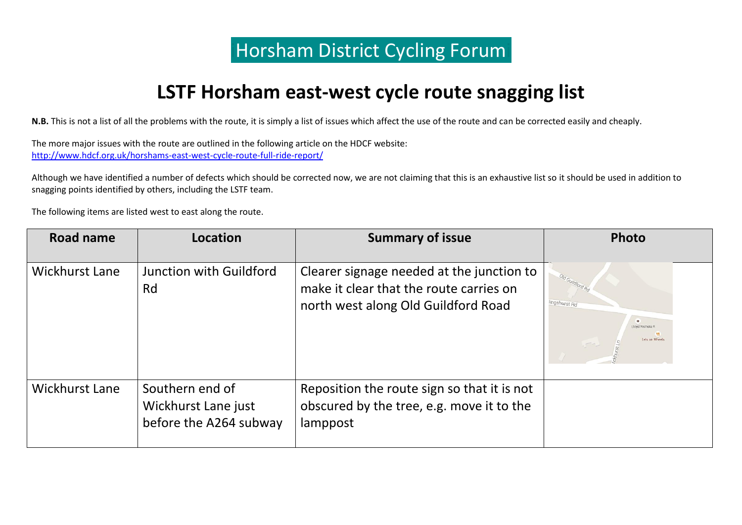## **Horsham District Cycling Forum**

## **LSTF Horsham east-west cycle route snagging list**

**N.B.** This is not a list of all the problems with the route, it is simply a list of issues which affect the use of the route and can be corrected easily and cheaply.

The more major issues with the route are outlined in the following article on the HDCF website: <http://www.hdcf.org.uk/horshams-east-west-cycle-route-full-ride-report/>

Although we have identified a number of defects which should be corrected now, we are not claiming that this is an exhaustive list so it should be used in addition to snagging points identified by others, including the LSTF team.

The following items are listed west to east along the route.

| <b>Road name</b>      | <b>Location</b>                                                  | <b>Summary of issue</b>                                                                                                     | Photo                                                                                 |
|-----------------------|------------------------------------------------------------------|-----------------------------------------------------------------------------------------------------------------------------|---------------------------------------------------------------------------------------|
| <b>Wickhurst Lane</b> | Junction with Guildford<br>Rd                                    | Clearer signage needed at the junction to<br>make it clear that the route carries on<br>north west along Old Guildford Road | Old Guildford<br>lingshurst Rd<br>$\mathbf{H}$ .<br>Lloyd Nichola R<br>Eels on Wheels |
| <b>Wickhurst Lane</b> | Southern end of<br>Wickhurst Lane just<br>before the A264 subway | Reposition the route sign so that it is not<br>obscured by the tree, e.g. move it to the<br>lamppost                        |                                                                                       |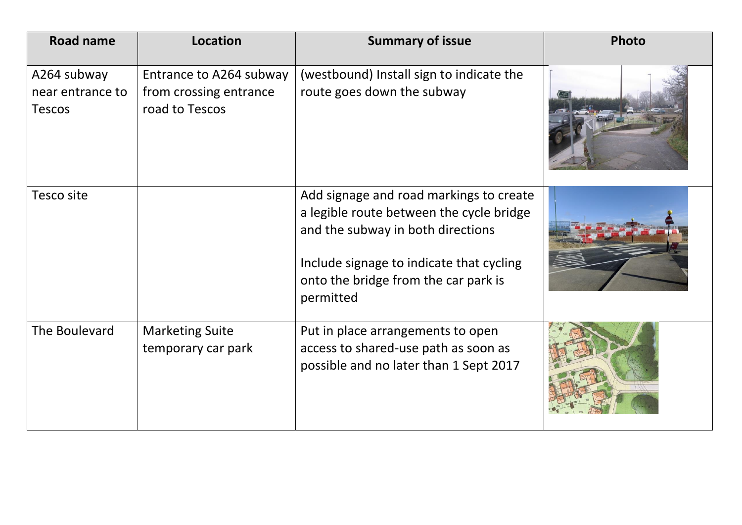| <b>Road name</b>                                 | Location                                                            | <b>Summary of issue</b>                                                                                                                                                                                                   | Photo |
|--------------------------------------------------|---------------------------------------------------------------------|---------------------------------------------------------------------------------------------------------------------------------------------------------------------------------------------------------------------------|-------|
| A264 subway<br>near entrance to<br><b>Tescos</b> | Entrance to A264 subway<br>from crossing entrance<br>road to Tescos | (westbound) Install sign to indicate the<br>route goes down the subway                                                                                                                                                    |       |
| Tesco site                                       |                                                                     | Add signage and road markings to create<br>a legible route between the cycle bridge<br>and the subway in both directions<br>Include signage to indicate that cycling<br>onto the bridge from the car park is<br>permitted |       |
| The Boulevard                                    | <b>Marketing Suite</b><br>temporary car park                        | Put in place arrangements to open<br>access to shared-use path as soon as<br>possible and no later than 1 Sept 2017                                                                                                       |       |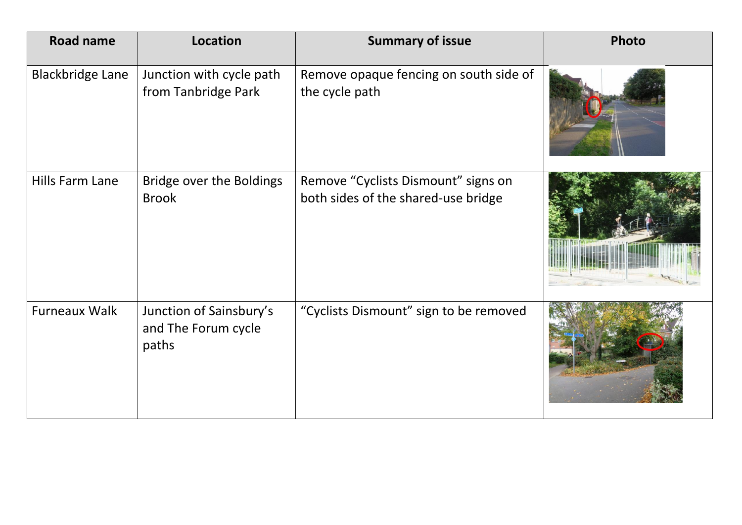| <b>Road name</b>        | <b>Location</b>                                         | <b>Summary of issue</b>                                                    | Photo |
|-------------------------|---------------------------------------------------------|----------------------------------------------------------------------------|-------|
| <b>Blackbridge Lane</b> | Junction with cycle path<br>from Tanbridge Park         | Remove opaque fencing on south side of<br>the cycle path                   |       |
| Hills Farm Lane         | Bridge over the Boldings<br><b>Brook</b>                | Remove "Cyclists Dismount" signs on<br>both sides of the shared-use bridge |       |
| <b>Furneaux Walk</b>    | Junction of Sainsbury's<br>and The Forum cycle<br>paths | "Cyclists Dismount" sign to be removed                                     |       |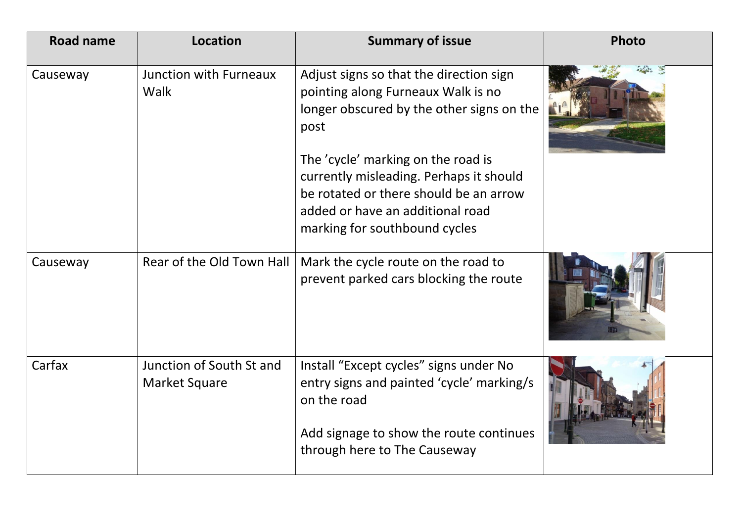| <b>Road name</b> | <b>Location</b>                           | <b>Summary of issue</b>                                                                                                                                                                      | Photo |
|------------------|-------------------------------------------|----------------------------------------------------------------------------------------------------------------------------------------------------------------------------------------------|-------|
| Causeway         | <b>Junction with Furneaux</b><br>Walk     | Adjust signs so that the direction sign<br>pointing along Furneaux Walk is no<br>longer obscured by the other signs on the<br>post                                                           |       |
|                  |                                           | The 'cycle' marking on the road is<br>currently misleading. Perhaps it should<br>be rotated or there should be an arrow<br>added or have an additional road<br>marking for southbound cycles |       |
| Causeway         | Rear of the Old Town Hall                 | Mark the cycle route on the road to<br>prevent parked cars blocking the route                                                                                                                |       |
| Carfax           | Junction of South St and<br>Market Square | Install "Except cycles" signs under No<br>entry signs and painted 'cycle' marking/s<br>on the road                                                                                           |       |
|                  |                                           | Add signage to show the route continues<br>through here to The Causeway                                                                                                                      |       |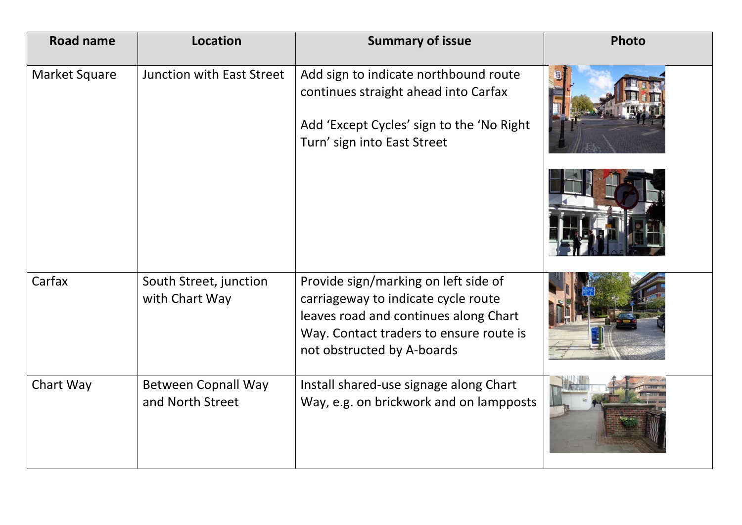| <b>Road name</b>     | <b>Location</b>                                | <b>Summary of issue</b>                                                                                                                                                                       | Photo |
|----------------------|------------------------------------------------|-----------------------------------------------------------------------------------------------------------------------------------------------------------------------------------------------|-------|
| <b>Market Square</b> | Junction with East Street                      | Add sign to indicate northbound route<br>continues straight ahead into Carfax<br>Add 'Except Cycles' sign to the 'No Right<br>Turn' sign into East Street                                     |       |
|                      |                                                |                                                                                                                                                                                               |       |
| Carfax               | South Street, junction<br>with Chart Way       | Provide sign/marking on left side of<br>carriageway to indicate cycle route<br>leaves road and continues along Chart<br>Way. Contact traders to ensure route is<br>not obstructed by A-boards |       |
| Chart Way            | <b>Between Copnall Way</b><br>and North Street | Install shared-use signage along Chart<br>Way, e.g. on brickwork and on lampposts                                                                                                             |       |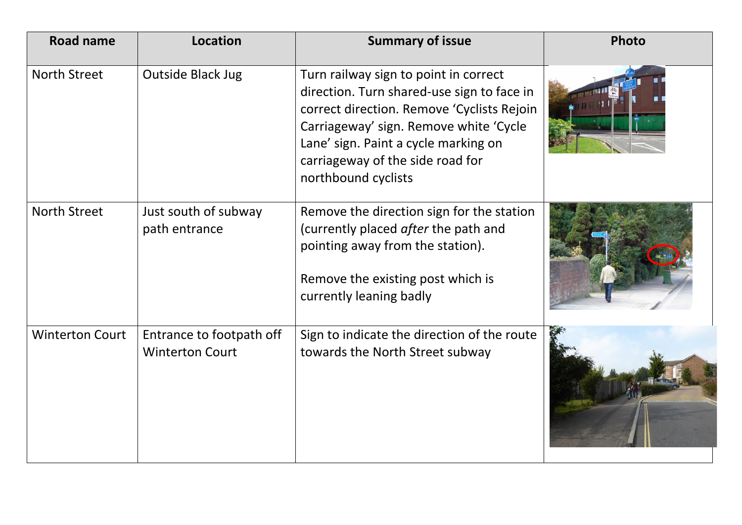| <b>Road name</b>       | <b>Location</b>                                    | <b>Summary of issue</b>                                                                                                                                                                                                                                                        | Photo |
|------------------------|----------------------------------------------------|--------------------------------------------------------------------------------------------------------------------------------------------------------------------------------------------------------------------------------------------------------------------------------|-------|
| <b>North Street</b>    | Outside Black Jug                                  | Turn railway sign to point in correct<br>direction. Turn shared-use sign to face in<br>correct direction. Remove 'Cyclists Rejoin<br>Carriageway' sign. Remove white 'Cycle<br>Lane' sign. Paint a cycle marking on<br>carriageway of the side road for<br>northbound cyclists |       |
| <b>North Street</b>    | Just south of subway<br>path entrance              | Remove the direction sign for the station<br>(currently placed after the path and<br>pointing away from the station).<br>Remove the existing post which is<br>currently leaning badly                                                                                          |       |
| <b>Winterton Court</b> | Entrance to footpath off<br><b>Winterton Court</b> | Sign to indicate the direction of the route<br>towards the North Street subway                                                                                                                                                                                                 |       |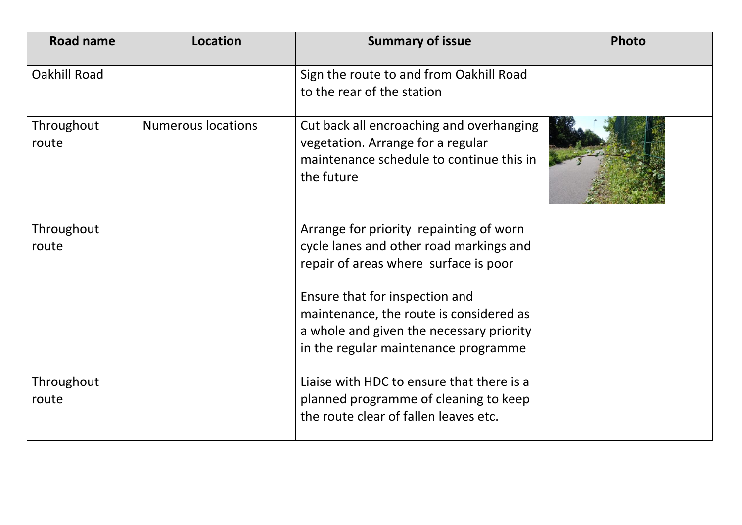| <b>Road name</b>    | Location                  | <b>Summary of issue</b>                                                                                                                                                                                                                                                                      | Photo |
|---------------------|---------------------------|----------------------------------------------------------------------------------------------------------------------------------------------------------------------------------------------------------------------------------------------------------------------------------------------|-------|
| <b>Oakhill Road</b> |                           | Sign the route to and from Oakhill Road<br>to the rear of the station                                                                                                                                                                                                                        |       |
| Throughout<br>route | <b>Numerous locations</b> | Cut back all encroaching and overhanging<br>vegetation. Arrange for a regular<br>maintenance schedule to continue this in<br>the future                                                                                                                                                      |       |
| Throughout<br>route |                           | Arrange for priority repainting of worn<br>cycle lanes and other road markings and<br>repair of areas where surface is poor<br>Ensure that for inspection and<br>maintenance, the route is considered as<br>a whole and given the necessary priority<br>in the regular maintenance programme |       |
| Throughout<br>route |                           | Liaise with HDC to ensure that there is a<br>planned programme of cleaning to keep<br>the route clear of fallen leaves etc.                                                                                                                                                                  |       |